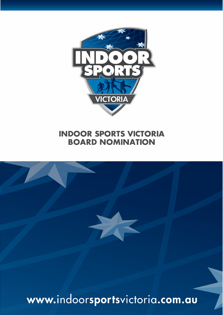

# **INDOOR SPORTS VICTORIA BOARD NOMINATION**



www.indoorsportsvictoria.com.au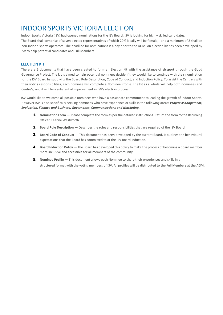# INDOOR SPORTS VICTORIA ELECTION

Indoor Sports Victoria (ISV) had opened nominations for the ISV Board. ISV is looking for highly skilled candidates. The Board shall comprise of seven elected representatives of which 20% ideally will be female, and a minimum of 2 shall be non-indoor sports operators. The deadline for nominations is a day prior to the AGM. An election kit has been developed by ISV to help potential candidates and Full Members.

#### ELECTION KIT

There are 5 documents that have been created to form an Election Kit with the assistance of **vicsport** through the Good Governance Project. The kit is aimed to help potential nominees decide if they would like to continue with their nomination for the ISV Board by supplying the Board Role Description, Code of Conduct, and Induction Policy. To assist the Centre's with their voting responsibilities, each nominee will complete a Nominee Profile. The kit as a whole will help both nominees and Centre's, and it will be a substantial improvement in ISV's election process.

ISV would like to welcome all possible nominees who have a passionate commitment to leading the growth of Indoor Sports. However ISV is also specifically seeking nominees who have experience or skills in the following areas: *Project Management, Evaluation, Finance and Business, Governance, Communications and Marketing.*

- **1. Nomination Form —** Please complete the form as per the detailed instructions. Return the form to the Returning Officer, Leanne Westworth.
- **2.** Board Role Description Describes the roles and responsibilities that are required of the ISV Board.
- **3.** Board Code of Conduct This document has been developed by the current Board. It outlines the behavioural expectations that the Board has committed to at the ISV Board Induction.
- **4.** Board Induction Policy The Board has developed this policy to make the process of becoming a board member more inclusive and accessible for all members of the community.
- **5.** Nominee Profile This document allows each Nominee to share their experiences and skills in a structured format with the voting members of ISV. All profiles will be distributed to the Full Members at the AGM.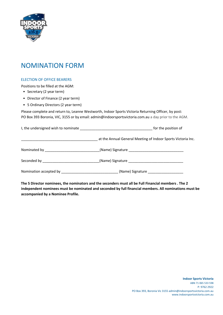

## NOMINATION FORM

#### ELECTION OF OFFICE BEARERS

Positions to be filled at the AGM:

- Secretary (2 year term)
- Director of Finance (2 year term)
- 5 Ordinary Directors (2 year term)

Please complete and return to, Leanne Westworth, Indoor Sports Victoria Returning Officer, by post: PO Box 393 Boronia, VIC, 3155 or by email: admin@indoorsportsvictoria.com.au a day prior to the AGM.

| for the position of                                                               |  |  |
|-----------------------------------------------------------------------------------|--|--|
| at the Annual General Meeting of Indoor Sports Victoria Inc.                      |  |  |
| Nominated by ________________________________(Name) Signature ___________________ |  |  |
|                                                                                   |  |  |
|                                                                                   |  |  |

**The 5 Director nominees, the nominators and the seconders must all be Full Financial members . The 2 independent nominees must be nominated and seconded by full financial members. All nominations must be accompanied by a Nominee Profile.**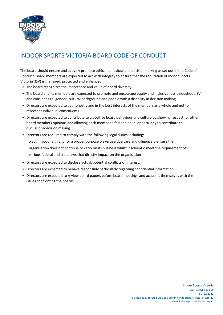

### INDOOR SPORTS VICTORIA BOARD CODE OF CONDUCT

The board should ensure and actively promote ethical behaviour and decision making as set out in the Code of Conduct. Board members are expected to act with integrity to ensure that the reputation of Indoor Sports Victoria (ISV) is managed, protected and enhanced.

- The board recognizes the importance and value of board diversity.
- The board and its members are expected to promote and encourage equity and inclusiveness throughout ISV and consider age, gender, cultural background and people with a disability in decision making.
- Directors are expected to act honestly and in the best interests of the members as a whole and not to represent individual constituents.
- Directors are expected to contribute to a positive board behaviour and culture by showing respect for other board members opinions and allowing each member a fair and equal opportunity to contribute to discussion/decision making.
- Directors are required to comply with the following legal duties including:

o act in good faith and for a proper purpose o exercise due care and diligence o ensure the organisation does not continue to carry on its business whilst insolvent o meet the requirement of various federal and state laws that directly impact on the organisation

- Directors are expected to disclose actual/potential conflicts of interest.
- Directors are expected to behave responsibly particularly regarding confidential information.
- Directors are expected to review board papers before board meetings and acquaint themselves with the issues confronting the boards.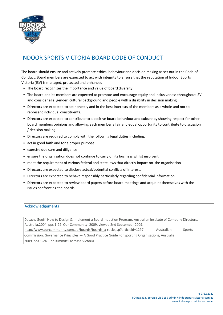

### INDOOR SPORTS VICTORIA BOARD CODE OF CONDUCT

The board should ensure and actively promote ethical behaviour and decision making as set out in the Code of Conduct. Board members are expected to act with integrity to ensure that the reputation of Indoor Sports Victoria (ISV) is managed, protected and enhanced.

- The board recognizes the importance and value of board diversity.
- The board and its members are expected to promote and encourage equity and inclusiveness throughout ISV and consider age, gender, cultural background and people with a disability in decision making.
- Directors are expected to act honestly and in the best interests of the members as a whole and not to represent individual constituents.
- Directors are expected to contribute to a positive board behaviour and culture by showing respect for other board members opinions and allowing each member a fair and equal opportunity to contribute to discussion / decision making.
- Directors are required to comply with the following legal duties including:
- act in good faith and for a proper purpose
- exercise due care and diligence
- ensure the organisation does not continue to carry on its business whilst insolvent
- meet the requirement of various federal and state laws that directly impact on the organisation
- Directors are expected to disclose actual/potential conflicts of interest.
- Directors are expected to behave responsibly particularly regarding confidential information.
- Directors are expected to review board papers before board meetings and acquaint themselves with the issues confronting the boards.

#### Acknowledgements

DeLacy, Geoff, How to Design & Implement a Board Induction Program, Australian Institute of Company Directors, Australia,2004, pps 1-22. Our Community, 2009, viewed 2nd September 2009, http://www.ourcommunity.com.au/boards/boards\_a rticle.jsp?articleld=1297 Australian Sports Commission. Governance Principles — A Good Practice Guide For Sporting Organisations, Australia 2009, pps 1-24. Rod Kimmitt Lacrosse Victoria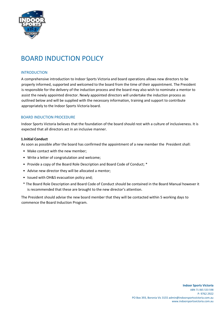

# BOARD INDUCTION POLICY

#### INTRODUCTION

A comprehensive introduction to Indoor Sports Victoria and board operations allows new directors to be properly informed, supported and welcomed to the board from the time of their appointment. The President is responsible for the delivery of the induction process and the board may also wish to nominate a mentor to assist the newly appointed director. Newly appointed directors will undertake the induction process as outlined below and will be supplied with the necessary information, training and support to contribute appropriately to the Indoor Sports Victoria board.

#### BOARD INDUCTION PROCEDURE

Indoor Sports Victoria believes that the foundation of the board should rest with a culture of inclusiveness. It is expected that all directors act in an inclusive manner.

#### **1.Initial Conduct**

As soon as possible after the board has confirmed the appointment of a new member the President shall:

- Make contact with the new member;
- Write a letter of congratulation and welcome;
- Provide a copy of the Board Role Description and Board Code of Conduct; \*
- Advise new director they will be allocated a mentor;
- Issued with OH&S evacuation policy and;
- \* The Board Role Description and Board Code of Conduct should be contained in the Board Manual however it is recommended that these are brought to the new director's attention.

The President should advise the new board member that they will be contacted within 5 working days to commence the Board Induction Program.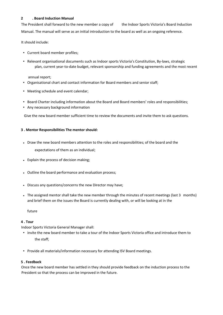#### **2 . Board Induction Manual**

The President shall forward to the new member a copy of the Indoor Sports Victoria's Board Induction Manual. The manual will serve as an initial introduction to the board as well as an ongoing reference.

It should include:

- Current board member profiles;
- Relevant organisational documents such as Indoor sports Victoria's Constitution, By-laws, strategic plan, current year-to-date budget, relevant sponsorship and funding agreements and the most recent

annual report;

- Organisational chart and contact information for Board members and senior staff;
- Meeting schedule and event calendar;
- Board Charter including information about the Board and Board members' roles and responsibilities;
- Any necessary background information

Give the new board member sufficient time to review the documents and invite them to ask questions.

#### **3 . Mentor Responsibilities The mentor should:**

• Draw the new board members attention to the roles and responsibilities; of the board and the

expectations of them as an individual;

- Explain the process of decision making;
- Outline the board performance and evaluation process;
- Discuss any questions/concerns the new Director may have;
- The assigned mentor shall take the new member through the minutes of recent meetings (last 3 months) and brief them on the issues the Board is currently dealing with, or will be looking at in the

future

#### **4 . Tour**

Indoor Sports Victoria General Manager shall:

- invite the new board member to take a tour of the Indoor Sports Victoria office and introduce them to the staff;
- Provide all materials/information necessary for attending ISV Board meetings.

#### **5 . Feedback**

Once the new board member has settled in they should provide feedback on the induction process to the President so that the process can be improved in the future.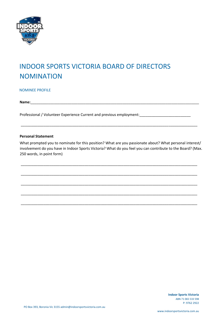

# INDOOR SPORTS VICTORIA BOARD OF DIRECTORS NOMINATION

NOMINEE PROFILE

**Name:**\_\_\_\_\_\_\_\_\_\_\_\_\_\_\_\_\_\_\_\_\_\_\_\_\_\_\_\_\_\_\_\_\_\_\_\_\_\_\_\_\_\_\_\_\_\_\_\_\_\_\_\_\_\_\_\_\_\_\_\_\_\_\_\_\_\_\_\_\_\_\_\_\_\_\_\_\_\_\_\_\_\_\_\_\_\_

Professional / Volunteer Experience Current and previous employment: \_\_\_\_\_\_\_\_\_\_\_\_\_\_\_\_\_\_\_\_\_\_\_\_\_\_\_\_\_\_

#### **Personal Statement**

What prompted you to nominate for this position? What are you passionate about? What personal interest/ involvement do you have in Indoor Sports Victoria? What do you feel you can contribute to the Board? (Max. 250 words, in point form)

\_\_\_\_\_\_\_\_\_\_\_\_\_\_\_\_\_\_\_\_\_\_\_\_\_\_\_\_\_\_\_\_\_\_\_\_\_\_\_\_\_\_\_\_\_\_\_\_\_\_\_\_\_\_\_\_\_\_\_\_\_\_\_\_\_\_\_\_\_\_\_\_\_\_\_\_\_\_\_\_\_\_\_\_\_\_

\_\_\_\_\_\_\_\_\_\_\_\_\_\_\_\_\_\_\_\_\_\_\_\_\_\_\_\_\_\_\_\_\_\_\_\_\_\_\_\_\_\_\_\_\_\_\_\_\_\_\_\_\_\_\_\_\_\_\_\_\_\_\_\_\_\_\_\_\_\_\_\_\_\_\_\_\_\_\_\_\_\_\_\_\_\_

\_\_\_\_\_\_\_\_\_\_\_\_\_\_\_\_\_\_\_\_\_\_\_\_\_\_\_\_\_\_\_\_\_\_\_\_\_\_\_\_\_\_\_\_\_\_\_\_\_\_\_\_\_\_\_\_\_\_\_\_\_\_\_\_\_\_\_\_\_\_\_\_\_\_\_\_\_\_\_\_\_\_\_\_\_\_

\_\_\_\_\_\_\_\_\_\_\_\_\_\_\_\_\_\_\_\_\_\_\_\_\_\_\_\_\_\_\_\_\_\_\_\_\_\_\_\_\_\_\_\_\_\_\_\_\_\_\_\_\_\_\_\_\_\_\_\_\_\_\_\_\_\_\_\_\_\_\_\_\_\_\_\_\_\_\_\_\_\_\_\_\_\_

\_\_\_\_\_\_\_\_\_\_\_\_\_\_\_\_\_\_\_\_\_\_\_\_\_\_\_\_\_\_\_\_\_\_\_\_\_\_\_\_\_\_\_\_\_\_\_\_\_\_\_\_\_\_\_\_\_\_\_\_\_\_\_\_\_\_\_\_\_\_\_\_\_\_\_\_\_\_\_\_\_\_\_\_\_\_

\_\_\_\_\_\_\_\_\_\_\_\_\_\_\_\_\_\_\_\_\_\_\_\_\_\_\_\_\_\_\_\_\_\_\_\_\_\_\_\_\_\_\_\_\_\_\_\_\_\_\_\_\_\_\_\_\_\_\_\_\_\_\_\_\_\_\_\_\_\_\_\_\_\_\_\_\_\_\_\_\_\_\_\_\_\_

**Indoor Sports Victoria**  ABN 71 065 533 598 P: 9762 2922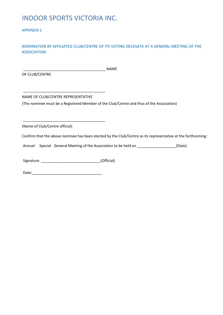### INDOOR SPORTS VICTORIA INC.

APPENDIX 1

#### NOMINATION BY AFFILIATED CLUB/CENTRE OF ITS VOTING DELEGATE AT A GENERAL MEETING OF THE ASSOCIATION

OF CLUB/CENTRE

 $\blacksquare$ 

NAME OF CLUB/CENTRE REPRESENTATIVE

\_\_\_\_\_\_\_\_\_\_\_\_\_\_\_\_\_\_\_\_\_\_\_\_\_\_\_\_\_\_\_\_\_\_\_\_\_\_\_\_

\_\_\_\_\_\_\_\_\_\_\_\_\_\_\_\_\_\_\_\_\_\_\_\_\_\_\_\_\_\_\_\_\_\_\_\_\_\_\_\_

(The nominee must be a Registered Member of the Club/Centre and thus of the Association)

(Name of Club/Centre official)

Confirm that the above nominee has been elected by the Club/Centre as its representative at the forthcoming:

Annual Special General Meeting of the Association to be held on \_\_\_\_\_\_\_\_\_\_\_\_\_\_\_\_\_(Date).

Signature: \_\_\_\_\_\_\_\_\_\_\_\_\_\_\_\_\_\_\_\_\_\_\_\_\_\_\_\_\_(Official)

Date:\_\_\_\_\_\_\_\_\_\_\_\_\_\_\_\_\_\_\_\_\_\_\_\_\_\_\_\_\_\_\_\_\_\_